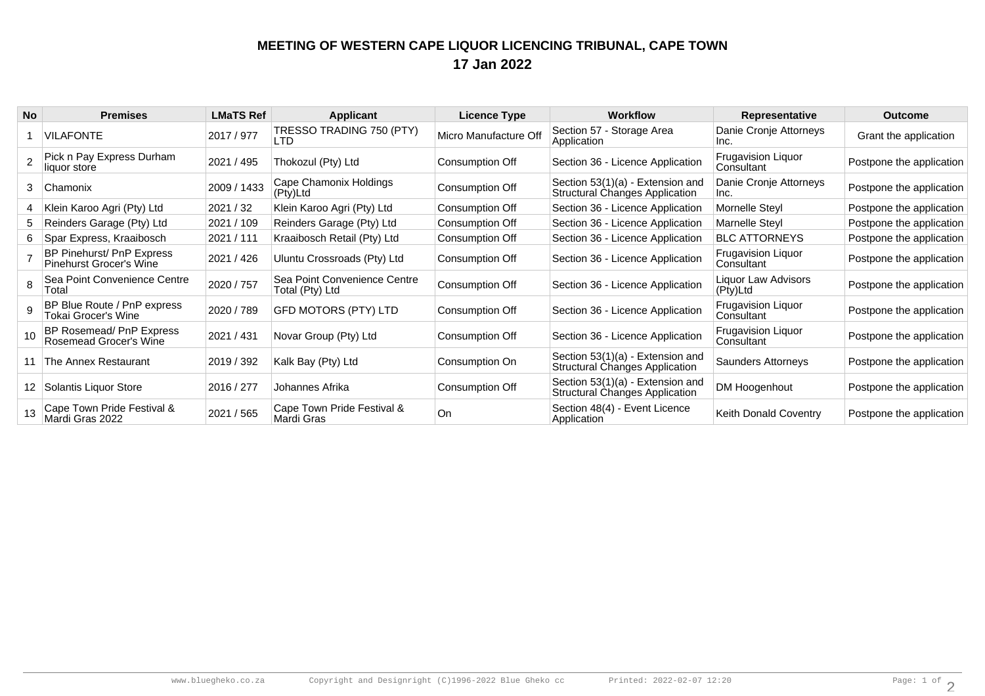## **MEETING OF WESTERN CAPE LIQUOR LICENCING TRIBUNAL, CAPE TOWN17 Jan 2022**

| <b>No</b> | <b>Premises</b>                                             | <b>LMaTS Ref</b> | <b>Applicant</b>                                | <b>Licence Type</b>   | <b>Workflow</b>                                                           | Representative                          | Outcome                  |
|-----------|-------------------------------------------------------------|------------------|-------------------------------------------------|-----------------------|---------------------------------------------------------------------------|-----------------------------------------|--------------------------|
|           | <b>VILAFONTE</b>                                            | 2017 / 977       | TRESSO TRADING 750 (PTY)<br>LTD                 | Micro Manufacture Off | Section 57 - Storage Area<br>Application                                  | Danie Cronje Attorneys<br>Inc.          | Grant the application    |
|           | Pick n Pay Express Durham<br>liquor store                   | 2021 / 495       | Thokozul (Pty) Ltd                              | Consumption Off       | Section 36 - Licence Application                                          | <b>Frugavision Liquor</b><br>Consultant | Postpone the application |
| 3         | <b>Chamonix</b>                                             | 2009 / 1433      | Cape Chamonix Holdings<br>(Pty)Ltd              | Consumption Off       | Section 53(1)(a) - Extension and<br><b>Structural Changes Application</b> | Danie Cronje Attorneys<br>Inc.          | Postpone the application |
|           | Klein Karoo Agri (Pty) Ltd                                  | 2021 / 32        | Klein Karoo Agri (Pty) Ltd                      | Consumption Off       | Section 36 - Licence Application                                          | Mornelle Steyl                          | Postpone the application |
|           | Reinders Garage (Pty) Ltd                                   | 2021 / 109       | Reinders Garage (Pty) Ltd                       | Consumption Off       | Section 36 - Licence Application                                          | Marnelle Steyl                          | Postpone the application |
| 6.        | Spar Express, Kraaibosch                                    | 2021 / 111       | Kraaibosch Retail (Pty) Ltd                     | Consumption Off       | Section 36 - Licence Application                                          | <b>BLC ATTORNEYS</b>                    | Postpone the application |
|           | BP Pinehurst/ PnP Express<br><b>Pinehurst Grocer's Wine</b> | 2021 / 426       | Uluntu Crossroads (Pty) Ltd                     | Consumption Off       | Section 36 - Licence Application                                          | <b>Frugavision Liquor</b><br>Consultant | Postpone the application |
|           | Sea Point Convenience Centre<br>Total                       | 2020 / 757       | Sea Point Convenience Centre<br>Total (Pty) Ltd | Consumption Off       | Section 36 - Licence Application                                          | Liguor Law Advisors<br>(Pty)Ltd         | Postpone the application |
|           | BP Blue Route / PnP express<br>Tokai Grocer's Wine          | 2020 / 789       | <b>GFD MOTORS (PTY) LTD</b>                     | Consumption Off       | Section 36 - Licence Application                                          | <b>Frugavision Liquor</b><br>Consultant | Postpone the application |
|           | BP Rosemead/ PnP Express<br>Rosemead Grocer's Wine          | 2021 / 431       | Novar Group (Pty) Ltd                           | Consumption Off       | Section 36 - Licence Application                                          | <b>Frugavision Liquor</b><br>Consultant | Postpone the application |
|           | 11 The Annex Restaurant                                     | 2019 / 392       | Kalk Bay (Pty) Ltd                              | Consumption On        | Section 53(1)(a) - Extension and<br><b>Structural Changes Application</b> | Saunders Attorneys                      | Postpone the application |
|           | 12   Solantis Liquor Store                                  | 2016 / 277       | Johannes Afrika                                 | Consumption Off       | Section 53(1)(a) - Extension and<br><b>Structural Changes Application</b> | DM Hoogenhout                           | Postpone the application |
|           | Cape Town Pride Festival &<br>Mardi Gras 2022               | 2021 / 565       | Cape Town Pride Festival &<br>Mardi Gras        | On                    | Section 48(4) - Event Licence<br>Application                              | Keith Donald Coventry                   | Postpone the application |